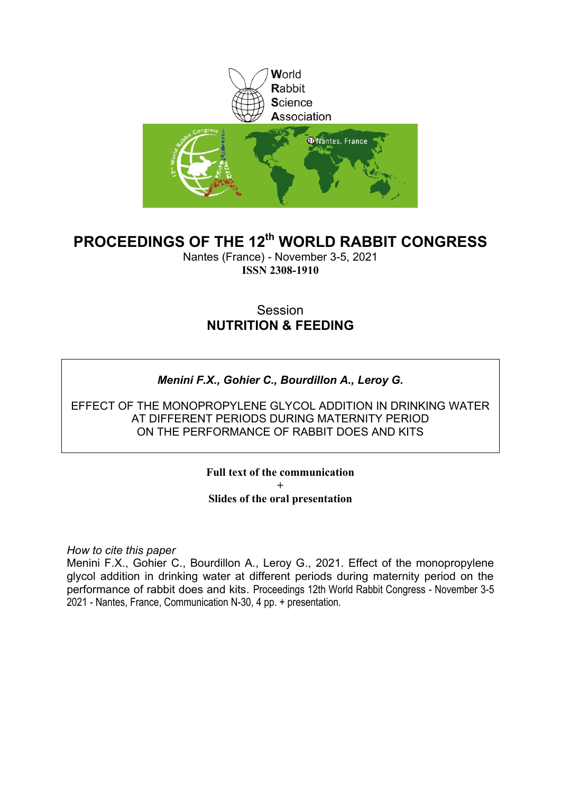

### **PROCEEDINGS OF THE 12th WORLD RABBIT CONGRESS**

Nantes (France) - November 3-5, 2021 **ISSN 2308-1910**

### Session **NUTRITION & FEEDING**

### *Menini F.X., Gohier C., Bourdillon A., Leroy G.*

EFFECT OF THE MONOPROPYLENE GLYCOL ADDITION IN DRINKING WATER AT DIFFERENT PERIODS DURING MATERNITY PERIOD ON THE PERFORMANCE OF RABBIT DOES AND KITS

> **Full text of the communication + Slides of the oral presentation**

*How to cite this paper*

Menini F.X., Gohier C., Bourdillon A., Leroy G., 2021. Effect of the monopropylene glycol addition in drinking water at different periods during maternity period on the performance of rabbit does and kits. Proceedings 12th World Rabbit Congress - November 3-5 2021 - Nantes, France, Communication N-30, 4 pp. + presentation.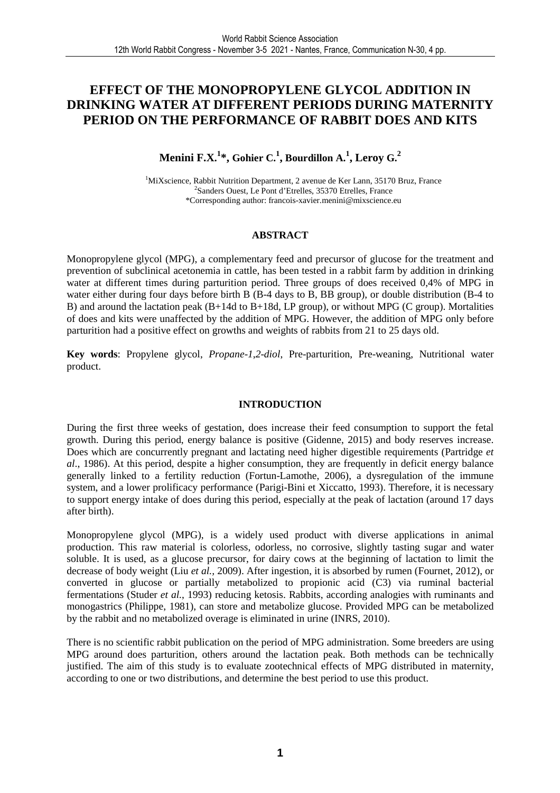### **EFFECT OF THE MONOPROPYLENE GLYCOL ADDITION IN DRINKING WATER AT DIFFERENT PERIODS DURING MATERNITY PERIOD ON THE PERFORMANCE OF RABBIT DOES AND KITS**

### $\mathbf{M}$ enini F.X. $^{1*}$ , Gohier C. $^{1}$ , Bourdillon A. $^{1}$ , Leroy G. $^{2}$

<sup>1</sup>MiXscience, Rabbit Nutrition Department, 2 avenue de Ker Lann, 35170 Bruz, France 2 Sanders Ouest, Le Pont d'Etrelles, 35370 Etrelles, France \*Corresponding author: francois-xavier.menini@mixscience.eu

### **ABSTRACT**

Monopropylene glycol (MPG), a complementary feed and precursor of glucose for the treatment and prevention of subclinical acetonemia in cattle, has been tested in a rabbit farm by addition in drinking water at different times during parturition period. Three groups of does received 0,4% of MPG in water either during four days before birth B (B-4 days to B, BB group), or double distribution (B-4 to B) and around the lactation peak (B+14d to B+18d, LP group), or without MPG (C group). Mortalities of does and kits were unaffected by the addition of MPG. However, the addition of MPG only before parturition had a positive effect on growths and weights of rabbits from 21 to 25 days old.

**Key words**: Propylene glycol, *Propane*-*1*,*2*-*diol*, Pre-parturition, Pre-weaning, Nutritional water product.

### **INTRODUCTION**

During the first three weeks of gestation, does increase their feed consumption to support the fetal growth. During this period, energy balance is positive (Gidenne, 2015) and body reserves increase. Does which are concurrently pregnant and lactating need higher digestible requirements (Partridge *et al*., 1986). At this period, despite a higher consumption, they are frequently in deficit energy balance generally linked to a fertility reduction (Fortun-Lamothe, 2006), a dysregulation of the immune system, and a lower prolificacy performance (Parigi-Bini et Xiccatto, 1993). Therefore, it is necessary to support energy intake of does during this period, especially at the peak of lactation (around 17 days after birth).

Monopropylene glycol (MPG), is a widely used product with diverse applications in animal production. This raw material is colorless, odorless, no corrosive, slightly tasting sugar and water soluble. It is used, as a glucose precursor, for dairy cows at the beginning of lactation to limit the decrease of body weight (Liu *et al.,* 2009). After ingestion, it is absorbed by rumen (Fournet, 2012), or converted in glucose or partially metabolized to propionic acid (C3) via ruminal bacterial fermentations (Studer *et al.*, 1993) reducing ketosis. Rabbits, according analogies with ruminants and monogastrics (Philippe, 1981), can store and metabolize glucose. Provided MPG can be metabolized by the rabbit and no metabolized overage is eliminated in urine (INRS, 2010).

There is no scientific rabbit publication on the period of MPG administration. Some breeders are using MPG around does parturition, others around the lactation peak. Both methods can be technically justified. The aim of this study is to evaluate zootechnical effects of MPG distributed in maternity, according to one or two distributions, and determine the best period to use this product.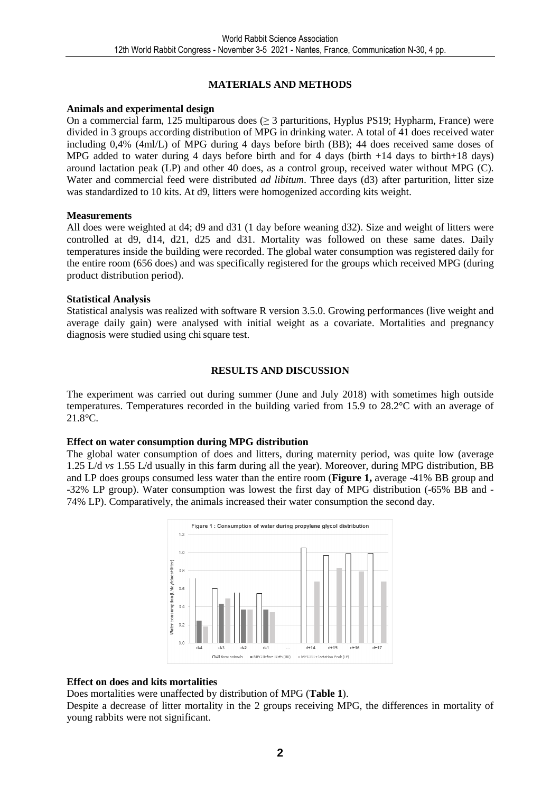### **MATERIALS AND METHODS**

### **Animals and experimental design**

On a commercial farm, 125 multiparous does  $(≥ 3$  parturitions, Hyplus PS19; Hypharm, France) were divided in 3 groups according distribution of MPG in drinking water. A total of 41 does received water including 0,4% (4ml/L) of MPG during 4 days before birth (BB); 44 does received same doses of MPG added to water during 4 days before birth and for 4 days (birth +14 days to birth+18 days) around lactation peak (LP) and other 40 does, as a control group, received water without MPG (C). Water and commercial feed were distributed *ad libitum*. Three days (d3) after parturition, litter size was standardized to 10 kits. At d9, litters were homogenized according kits weight.

### **Measurements**

All does were weighted at d4; d9 and d31 (1 day before weaning d32). Size and weight of litters were controlled at d9, d14, d21, d25 and d31. Mortality was followed on these same dates. Daily temperatures inside the building were recorded. The global water consumption was registered daily for the entire room (656 does) and was specifically registered for the groups which received MPG (during product distribution period).

### **Statistical Analysis**

Statistical analysis was realized with software R version 3.5.0. Growing performances (live weight and average daily gain) were analysed with initial weight as a covariate. Mortalities and pregnancy diagnosis were studied using chisquare test.

### **RESULTS AND DISCUSSION**

The experiment was carried out during summer (June and July 2018) with sometimes high outside temperatures. Temperatures recorded in the building varied from 15.9 to 28.2°C with an average of 21.8°C.

### **Effect on water consumption during MPG distribution**

The global water consumption of does and litters, during maternity period, was quite low (average 1.25 L/d *vs* 1.55 L/d usually in this farm during all the year). Moreover, during MPG distribution, BB and LP does groups consumed less water than the entire room (**Figure 1,** average -41% BB group and -32% LP group). Water consumption was lowest the first day of MPG distribution (-65% BB and - 74% LP). Comparatively, the animals increased their water consumption the second day.



### **Effect on does and kits mortalities**

Does mortalities were unaffected by distribution of MPG (**Table 1**).

Despite a decrease of litter mortality in the 2 groups receiving MPG, the differences in mortality of young rabbits were not significant.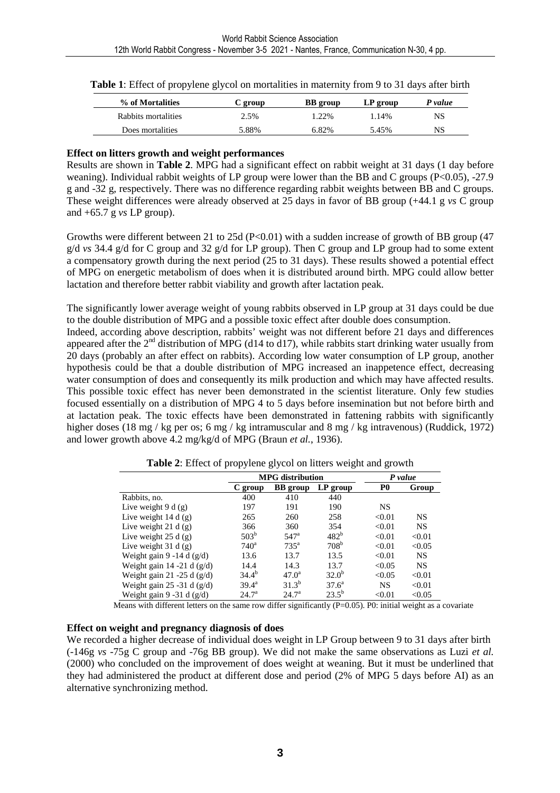| % of Mortalities    | C group | <b>BB</b> group | LP group | P value |
|---------------------|---------|-----------------|----------|---------|
| Rabbits mortalities | 2.5%    | 1.22%           | 1.14%    | NS      |
| Does mortalities    | 5.88%   | 6.82%           | 5.45%    | NS      |

### **Effect on litters growth and weight performances**

Results are shown in **Table 2**. MPG had a significant effect on rabbit weight at 31 days (1 day before weaning). Individual rabbit weights of LP group were lower than the BB and C groups (P<0.05), -27.9 g and -32 g, respectively. There was no difference regarding rabbit weights between BB and C groups. These weight differences were already observed at 25 days in favor of BB group (+44.1 g *vs* C group and +65.7 g *vs* LP group).

Growths were different between 21 to 25d (P<0.01) with a sudden increase of growth of BB group (47 g/d *vs* 34.4 g/d for C group and 32 g/d for LP group). Then C group and LP group had to some extent a compensatory growth during the next period (25 to 31 days). These results showed a potential effect of MPG on energetic metabolism of does when it is distributed around birth. MPG could allow better lactation and therefore better rabbit viability and growth after lactation peak.

The significantly lower average weight of young rabbits observed in LP group at 31 days could be due to the double distribution of MPG and a possible toxic effect after double does consumption.

Indeed, according above description, rabbits' weight was not different before 21 days and differences appeared after the  $2<sup>nd</sup>$  distribution of MPG (d14 to d17), while rabbits start drinking water usually from 20 days (probably an after effect on rabbits). According low water consumption of LP group, another hypothesis could be that a double distribution of MPG increased an inappetence effect, decreasing water consumption of does and consequently its milk production and which may have affected results. This possible toxic effect has never been demonstrated in the scientist literature. Only few studies focused essentially on a distribution of MPG 4 to 5 days before insemination but not before birth and at lactation peak. The toxic effects have been demonstrated in fattening rabbits with significantly higher doses (18 mg / kg per os; 6 mg / kg intramuscular and 8 mg / kg intravenous) (Ruddick, 1972) and lower growth above 4.2 mg/kg/d of MPG (Braun *et al.*, 1936).

|                               |                  | <b>MPG</b> distribution |                  | P value        |           |
|-------------------------------|------------------|-------------------------|------------------|----------------|-----------|
|                               | C group          | <b>BB</b> group         | LP group         | P <sub>0</sub> | Group     |
| Rabbits, no.                  | 400              | 410                     | 440              |                |           |
| Live weight $9 d(g)$          | 197              | 191                     | 190              | NS             |           |
| Live weight $14 d(g)$         | 265              | 260                     | 258              | < 0.01         | <b>NS</b> |
| Live weight 21 d $(g)$        | 366              | 360                     | 354              | < 0.01         | <b>NS</b> |
| Live weight $25 d(g)$         | 503 <sup>b</sup> | 547 <sup>a</sup>        | 482 <sup>b</sup> | < 0.01         | < 0.01    |
| Live weight $31 d(g)$         | $740^{\circ}$    | $735^{\mathrm{a}}$      | 708 <sup>b</sup> | < 0.01         | < 0.05    |
| Weight gain 9 -14 d $(g/d)$   | 13.6             | 13.7                    | 13.5             | < 0.01         | <b>NS</b> |
| Weight gain 14 -21 d $(g/d)$  | 14.4             | 14.3                    | 13.7             | < 0.05         | <b>NS</b> |
| Weight gain 21 -25 d $(g/d)$  | $34.4^{b}$       | $47.0^{\rm a}$          | $32.0^{b}$       | < 0.05         | < 0.01    |
| Weight gain $25 - 31$ d (g/d) | $39.4^{\rm a}$   | $31.3^{b}$              | $37.6^a$         | <b>NS</b>      | < 0.01    |
| Weight gain 9 -31 d $(g/d)$   | $24.7^{\rm a}$   | $24.7^{\rm a}$          | $23.5^{b}$       | < 0.01         | < 0.05    |

**Table 2**: Effect of propylene glycol on litters weight and growth

Means with different letters on the same row differ significantly ( $P=0.05$ ). P0: initial weight as a covariate

### **Effect on weight and pregnancy diagnosis of does**

We recorded a higher decrease of individual does weight in LP Group between 9 to 31 days after birth (-146g *vs* -75g C group and -76g BB group). We did not make the same observations as Luzi *et al.* (2000) who concluded on the improvement of does weight at weaning. But it must be underlined that they had administered the product at different dose and period (2% of MPG 5 days before AI) as an alternative synchronizing method.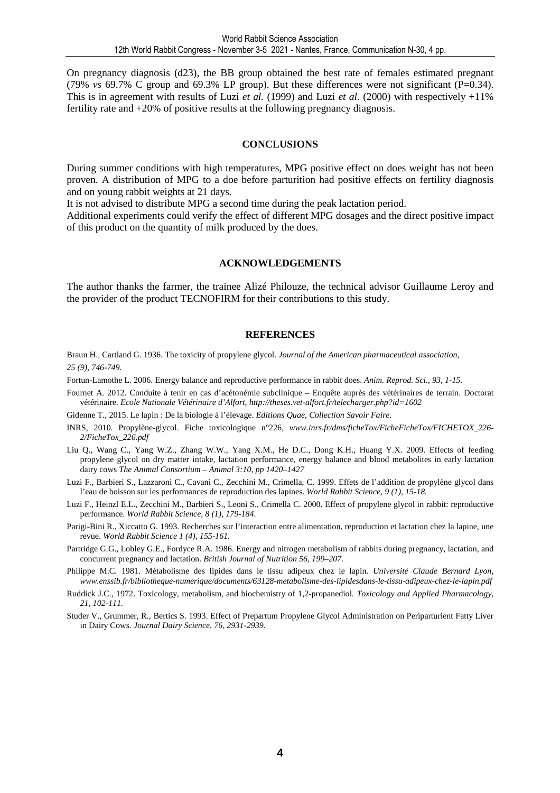On pregnancy diagnosis (d23), the BB group obtained the best rate of females estimated pregnant (79% *vs* 69.7% C group and 69.3% LP group). But these differences were not significant (P=0.34). This is in agreement with results of Luzi *et al.* (1999) and Luzi *et al*. (2000) with respectively +11% fertility rate and +20% of positive results at the following pregnancy diagnosis.

#### **CONCLUSIONS**

During summer conditions with high temperatures, MPG positive effect on does weight has not been proven. A distribution of MPG to a doe before parturition had positive effects on fertility diagnosis and on young rabbit weights at 21 days.

It is not advised to distribute MPG a second time during the peak lactation period.

Additional experiments could verify the effect of different MPG dosages and the direct positive impact of this product on the quantity of milk produced by the does.

#### **ACKNOWLEDGEMENTS**

The author thanks the farmer, the trainee Alizé Philouze, the technical advisor Guillaume Leroy and the provider of the product TECNOFIRM for their contributions to this study.

#### **REFERENCES**

Braun H., Cartland G. 1936. The toxicity of propylene glycol. *Journal of the American pharmaceutical association, 25 (9), 746-749.* 

Fortun-Lamothe L. 2006. Energy balance and reproductive performance in rabbit does. *Anim. Reprod. Sci., 93, 1-15.*

Fournet A. 2012. Conduite à tenir en cas d'acétonémie subclinique – Enquête auprès des vétérinaires de terrain. Doctorat vétérinaire. *Ecole Nationale Vétérinaire d'Alfort, http://theses.vet-alfort.fr/telecharger.php?id=1602* 

Gidenne T., 2015. Le lapin : De la biologie à l'élevage. *Editions Quae, Collection Savoir Faire.*

- INRS, 2010. Propylène-glycol. Fiche toxicologique n°226, *www.inrs.fr/dms/ficheTox/FicheFicheTox/FICHETOX\_226- 2/FicheTox\_226.pdf*
- Liu Q., Wang C., Yang W.Z., Zhang W.W., Yang X.M., He D.C., Dong K.H., Huang Y.X. 2009. Effects of feeding propylene glycol on dry matter intake, lactation performance, energy balance and blood metabolites in early lactation dairy cows *The Animal Consortium – Animal 3:10, pp 1420–1427*
- Luzi F., Barbieri S., Lazzaroni C., Cavani C., Zecchini M., Crimella, C. 1999. Effets de l'addition de propylène glycol dans l'eau de boisson sur les performances de reproduction des lapines. *World Rabbit Science, 9 (1), 15-18.*
- Luzi F., Heinzl E.L., Zecchini M., Barbieri S., Leoni S., Crimella C. 2000. Effect of propylene glycol in rabbit: reproductive performance. *World Rabbit Science, 8 (1), 179-184.*
- Parigi-Bini R., Xiccatto G. 1993. Recherches sur l'interaction entre alimentation, reproduction et lactation chez la lapine, une revue. *World Rabbit Science 1 (4), 155-161.*
- Partridge G.G., Lobley G.E., Fordyce R.A. 1986. Energy and nitrogen metabolism of rabbits during pregnancy, lactation, and concurrent pregnancy and lactation. *British Journal of Nutrition 56, 199–207.*
- Philippe M.C. 1981. Métabolisme des lipides dans le tissu adipeux chez le lapin. *Université Claude Bernard Lyon, www.enssib.fr/bibliotheque-numerique/documents/63128-metabolisme-des-lipidesdans-le-tissu-adipeux-chez-le-lapin.pdf*
- Ruddick J.C., 1972. Toxicology, metabolism, and biochemistry of 1,2-propanediol*. Toxicology and Applied Pharmacology, 21, 102-111.*
- Studer V., Grummer, R., Bertics S. 1993. Effect of Prepartum Propylene Glycol Administration on Periparturient Fatty Liver in Dairy Cows. *Journal Dairy Science, 76, 2931-2939.*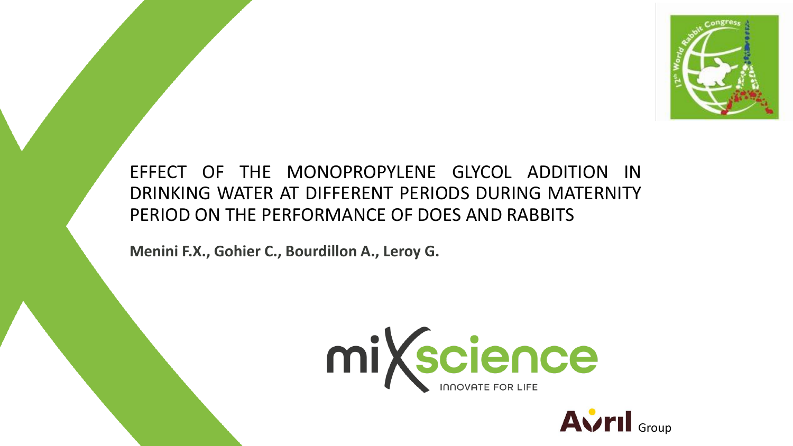

EFFECT OF THE MONOPROPYLENE GLYCOL ADDITION IN DRINKING WATER AT DIFFERENT PERIODS DURING MATERNITY PERIOD ON THE PERFORMANCE OF DOES AND RABBITS

**Menini F.X., Gohier C., Bourdillon A., Leroy G.** 



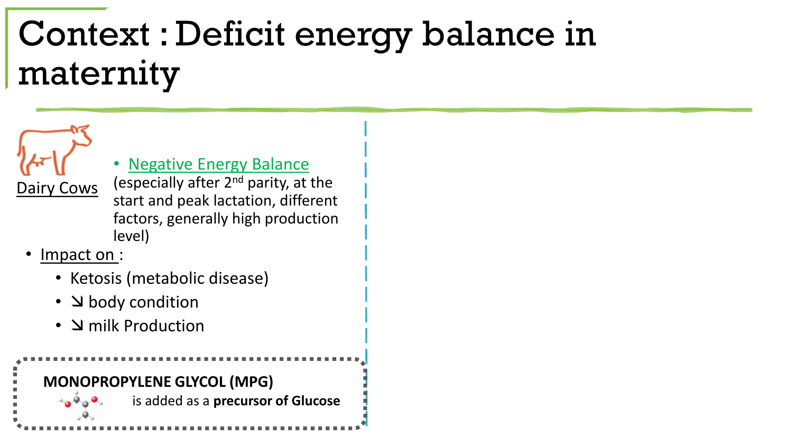## Context : Deficit energy balance in maternity

**Negative Energy Balance** 

 $D_0$  Cows (especially after  $2^{nd}$  parity, at the start and peak lactation, different factors, generally high production level)

Impact on :

 $a_{\alpha}a_{\alpha}a_{\nu}$ 

- Ketosis (metabolic disease)
- **S** body condition
- **N** milk Production



is added as a **precursor of Glucose**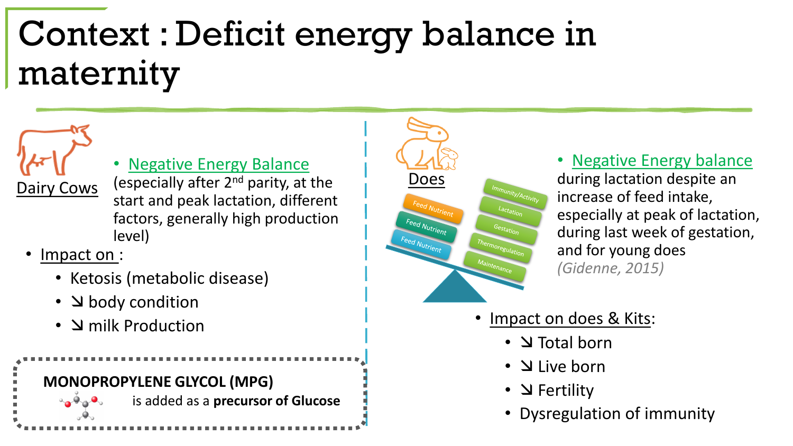# Context : Deficit energy balance in maternity

**Negative Energy Balance** 

 $\frac{1}{\text{Dairy} \text{ Cows}}$  (especially after 2<sup>nd</sup> parity, at the  $\frac{1}{\text{Does}}$ start and peak lactation, different factors, generally high production level)

• Impact on :

 $a_0$ 

- Ketosis (metabolic disease)
- **S** body condition
- $\Delta$  milk Production



is added as a **precursor of Glucose**



### • Negative Energy balance

during lactation despite an increase of feed intake, especially at peak of lactation, during last week of gestation, and for young does *(Gidenne, 2015)*

- Impact on does & Kits:
	- **V** Total born
	- **N** Live born
	- $\cdot$   $\Delta$  Fertility
	- **12th World Rabbit Congress 3** • Dysregulation of immunity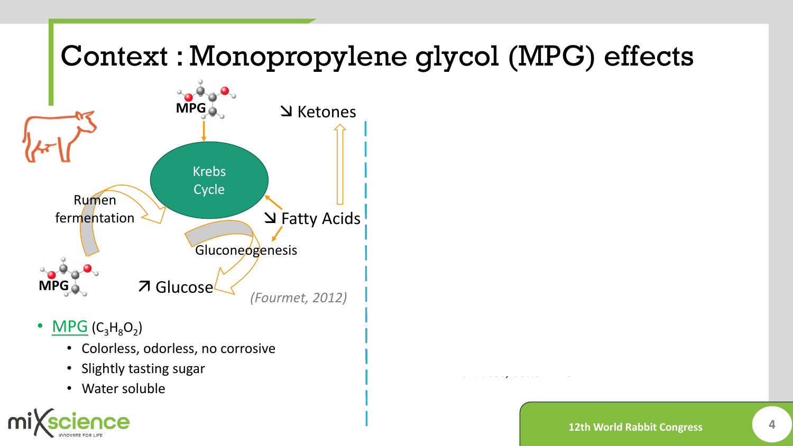## Context : Monopropylene glycol (MPG) effects



- $MPG(C_3H_8O_2)$ 
	- Colorless, odorless, no corrosive
	- Slightly tasting sugar
	- Water soluble



• Low dose, better ADG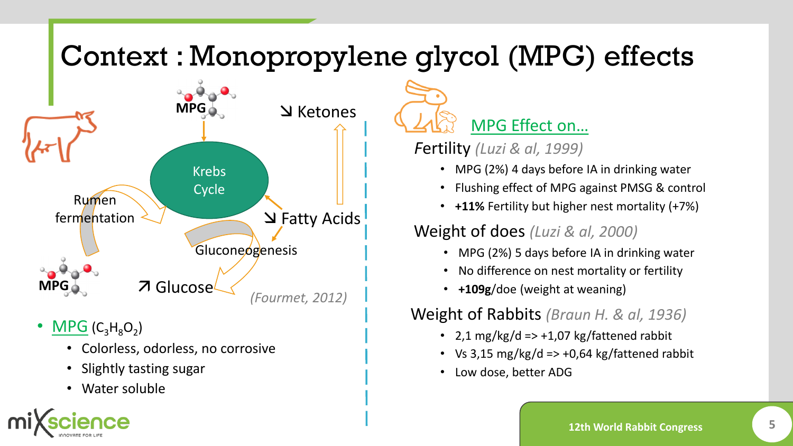## Context : Monopropylene glycol (MPG) effects



- $MPG(C_3H_8O_2)$ 
	- Colorless, odorless, no corrosive
	- Slightly tasting sugar
	- Water soluble

MPG Effect on…

*F*ertility *(Luzi & al, 1999)*

- MPG (2%) 4 days before IA in drinking water
- Flushing effect of MPG against PMSG & control
- **+11%** Fertility but higher nest mortality (+7%)

Weight of does *(Luzi & al, 2000)* 

- MPG (2%) 5 days before IA in drinking water
- No difference on nest mortality or fertility
- **+109g**/doe (weight at weaning)

Weight of Rabbits *(Braun H. & al, 1936)* 

- 2,1 mg/kg/d =>  $+1,07$  kg/fattened rabbit
- Vs 3,15 mg/kg/d =>  $+0.64$  kg/fattened rabbit
- Low dose, better ADG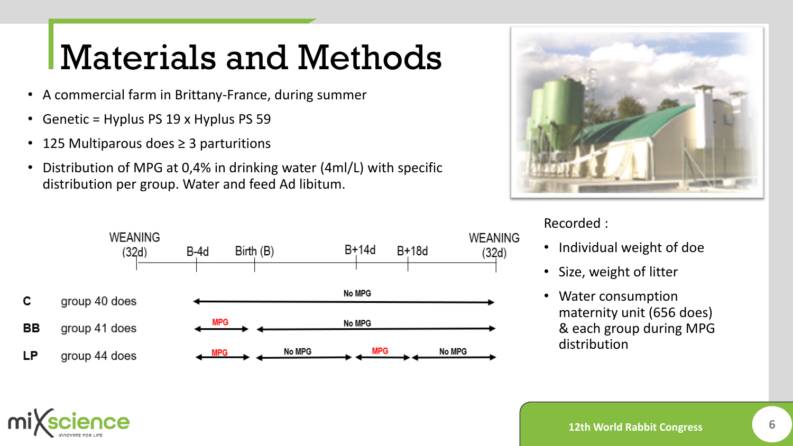## Materials and Methods

- A commercial farm in Brittany-France, during summer
- Genetic = Hyplus PS 19 x Hyplus PS 59
- 125 Multiparous does ≥ 3 parturitions
- Distribution of MPG at 0,4% in drinking water (4ml/L) with specific distribution per group. Water and feed Ad libitum.





### Recorded :

- Individual weight of doe
- Size, weight of litter
- Water consumption maternity unit (656 does) & each group during MPG distribution

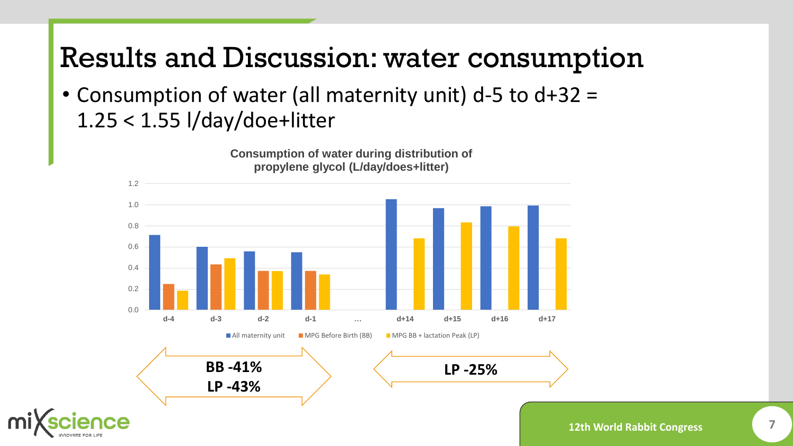## Results and Discussion: water consumption

• Consumption of water (all maternity unit) d-5 to d+32 = 1.25 < 1.55 l/day/doe+litter

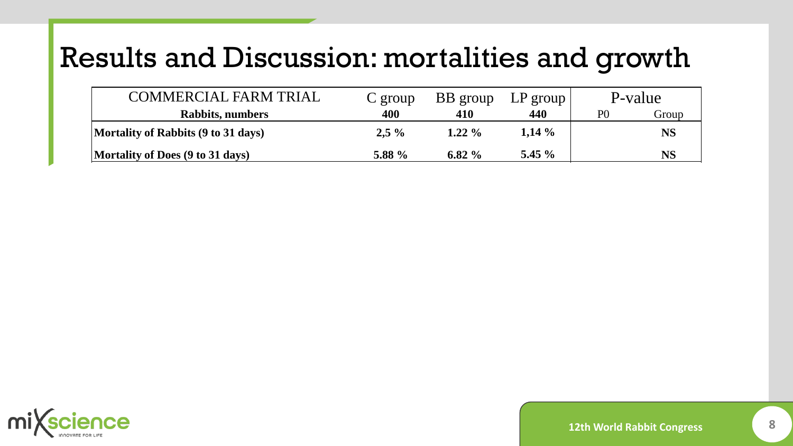| COMMERCIAL FARM TRIAL               | $C$ group | BB group  | $LP$ group |    | P-value   |
|-------------------------------------|-----------|-----------|------------|----|-----------|
| Rabbits, numbers                    | 400       | 410       | 440        | P0 | Group     |
| Mortality of Rabbits (9 to 31 days) | $2,5\%$   | $1.22\%$  | $1,14\%$   |    | <b>NS</b> |
| Mortality of Does (9 to 31 days)    | 5.88 %    | 6.82 $\%$ | 5.45 $\%$  |    | NS        |

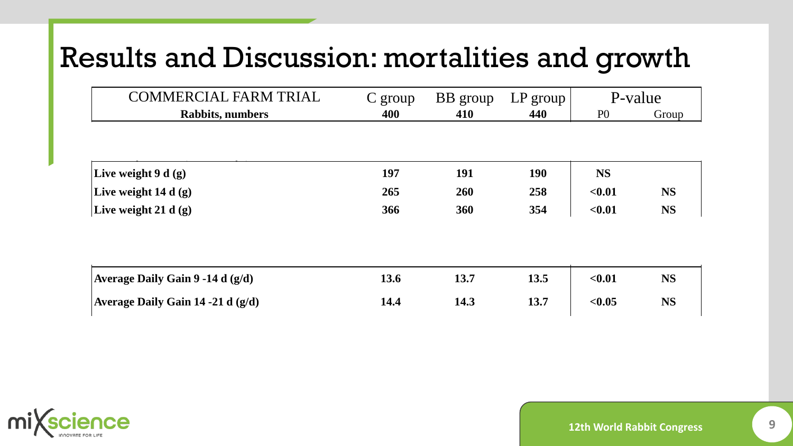| <b>COMMERCIAL FARM TRIAL</b>      | $C$ group | BB group | LP group ' |                | P-value   |
|-----------------------------------|-----------|----------|------------|----------------|-----------|
| <b>Rabbits, numbers</b>           | 400       | 410      | 440        | P <sub>0</sub> | Group     |
|                                   |           |          |            |                |           |
| Live weight $9 d(g)$              | 197       | 191      | <b>190</b> | <b>NS</b>      |           |
| Live weight $14 d(g)$             | 265       | 260      | 258        | < 0.01         | <b>NS</b> |
| Live weight 21 d $(g)$            | 366       | 360      | 354        | < 0.01         | <b>NS</b> |
|                                   |           |          |            |                |           |
| Average Daily Gain 9 -14 d (g/d)  | 13.6      | 13.7     | 13.5       | < 0.01         | <b>NS</b> |
| Average Daily Gain 14 -21 d (g/d) | 14.4      | 14.3     | 13.7       | < 0.05         | <b>NS</b> |

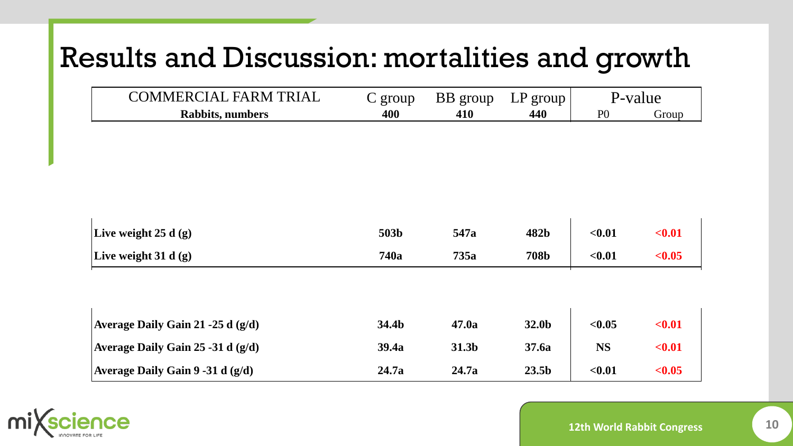| <b>COMMERCIAL FARM TRIAL</b>        | $C$ group | BB group | LP group          |                | P-value |
|-------------------------------------|-----------|----------|-------------------|----------------|---------|
| <b>Rabbits, numbers</b>             | 400       | 410      | 440               | P <sub>0</sub> | Group   |
|                                     |           |          |                   |                |         |
|                                     |           |          |                   |                |         |
|                                     |           |          |                   |                |         |
|                                     |           |          |                   |                |         |
|                                     |           |          |                   |                |         |
| Live weight $25 d(g)$               | 503b      | 547a     | 482b              | < 0.01         | $0.01$  |
| Live weight $31 d(g)$               | 740a      | 735a     | <b>708b</b>       | $0.01$         | < 0.05  |
|                                     |           |          |                   |                |         |
|                                     |           |          |                   |                |         |
| Average Daily Gain 21 -25 d (g/d)   | 34.4b     | 47.0a    | 32.0b             | < 0.05         | $0.01$  |
| Average Daily Gain 25 -31 d (g/d)   | 39.4a     | 31.3b    | 37.6a             | <b>NS</b>      | $0.01$  |
| Average Daily Gain $9 - 31 d$ (g/d) | 24.7a     | 24.7a    | 23.5 <sub>b</sub> | < 0.01         | < 0.05  |

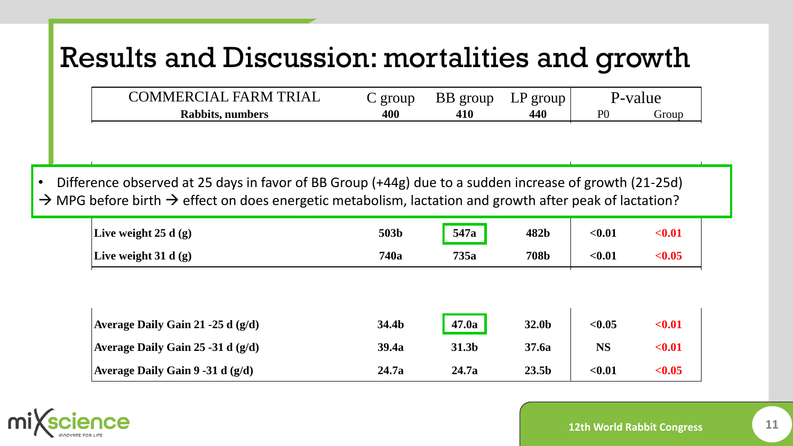| COMMERCIAL FARM TRIAL | group | BB group | group<br>$\Gamma h$ |                |       |
|-----------------------|-------|----------|---------------------|----------------|-------|
| Rabbits, numbers      | 400   | 410      |                     | D <sub>0</sub> | frour |

**Live weight 9 d (g) 197 191 190 NS Live weight 14 d (g) 265 260 258 <0.01 NS Live weight 21 d (g) 366 360 354 <0.01 NS** • Difference observed at 25 days in favor of BB Group (+44g) due to a sudden increase of growth (21-25d)  $\rightarrow$  MPG before birth  $\rightarrow$  effect on does energetic metabolism, lactation and growth after peak of lactation?

| Live weight $25 d(g)$               | 503b  | 547a  | 482b              | < 0.01    | $0.01$ |  |
|-------------------------------------|-------|-------|-------------------|-----------|--------|--|
| Live weight 31 d $(g)$              | 740a  | 735a  | <b>708b</b>       | < 0.01    | < 0.05 |  |
|                                     |       |       |                   |           |        |  |
|                                     |       |       |                   |           |        |  |
| Average Daily Gain 21 -25 d $(g/d)$ | 34.4b | 47.0a | 32.0b             | < 0.05    | $0.01$ |  |
| Average Daily Gain 25 -31 d $(g/d)$ | 39.4a | 31.3b | 37.6a             | <b>NS</b> | $0.01$ |  |
| Average Daily Gain $9 - 31 d$ (g/d) | 24.7a | 24.7a | 23.5 <sub>b</sub> | < 0.01    | < 0.05 |  |

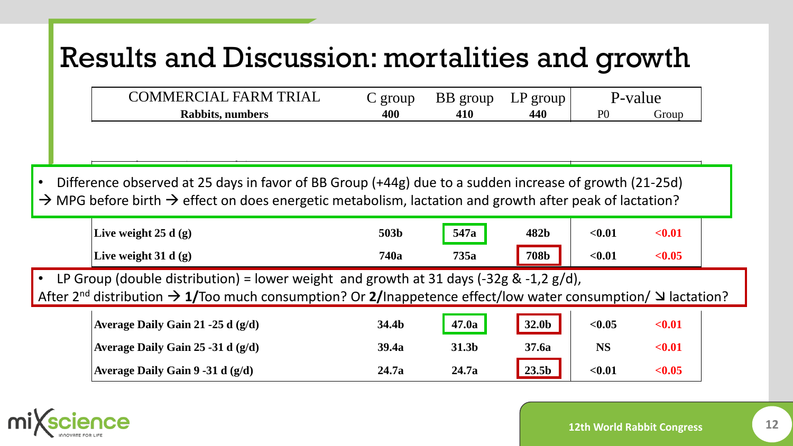| <b>FARM TRIAL</b><br>OMMERCIAL | group | <b>BB</b> group | group<br>⊥⊥ | -value<br>- – V |       |
|--------------------------------|-------|-----------------|-------------|-----------------|-------|
| Rabbits, numbers               | 400   | 410             | 440         | P(              | urout |

**Mortality of Does (9 to 31 days) 5.88 % 6.82 % 5.45 % NS**

**Live weight 9 d (g) 197 191 190 NS Live weight 14 d (g) 265 260 258 <0.01 NS Live weight 21 d (g) 366 360 354 <0.01 NS** • Difference observed at 25 days in favor of BB Group (+44g) due to a sudden increase of growth (21-25d)  $\rightarrow$  MPG before birth  $\rightarrow$  effect on does energetic metabolism, lactation and growth after peak of lactation?

|                                                                                          | Live weight $25 d(g)$ | 503b        | 547a | 482b        | $<$ $0.01$ | $0.01$        |  |
|------------------------------------------------------------------------------------------|-----------------------|-------------|------|-------------|------------|---------------|--|
|                                                                                          | Live weight $31 d(g)$ | <b>740a</b> | 735a | <b>708b</b> | $0.01$     | $< \!\! 0.05$ |  |
| • LP Group (double distribution) = lower weight and growth at 31 days (-32g & -1,2 g/d), |                       |             |      |             |            |               |  |

After 2<sup>nd</sup> distribution  $\rightarrow$  1/Too much consumption? Or 2/Inappetence effect/low water consumption/  $\Delta$  lactation?

| Average Daily Gain 21 -25 d $(g/d)$ | 34.4b | 47.0a | 32.0b             | < 0.05      | $0.01$ |
|-------------------------------------|-------|-------|-------------------|-------------|--------|
| Average Daily Gain 25 -31 d $(g/d)$ | 39.4a | 31.3b | 37.6a             | NS          | $0.01$ |
| Average Daily Gain 9 -31 d $(g/d)$  | 24.7a | 24.7a | 23.5 <sub>b</sub> | $<\!\!0.01$ | < 0.05 |

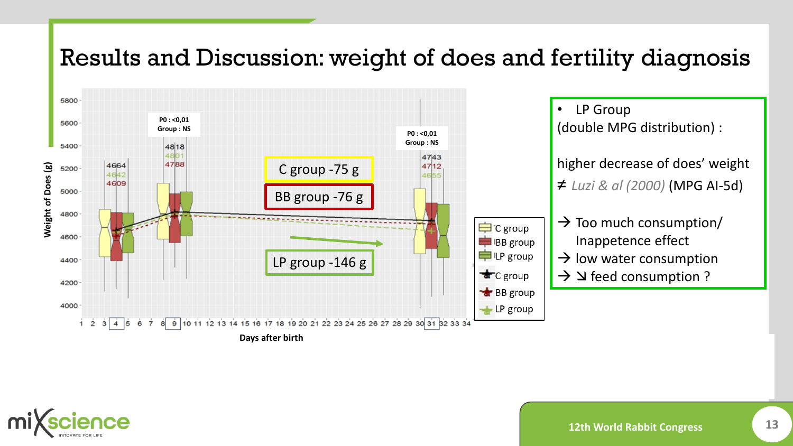### Results and Discussion: weight of does and fertility diagnosis



• LP Group (double MPG distribution) : higher decrease of does' weight ≠ *Luzi & al (2000)* (MPG AI-5d)

- $\rightarrow$  Too much consumption/ Inappetence effect
- $\rightarrow$  low water consumption
- $\rightarrow$   $\rightarrow$  a feed consumption ?

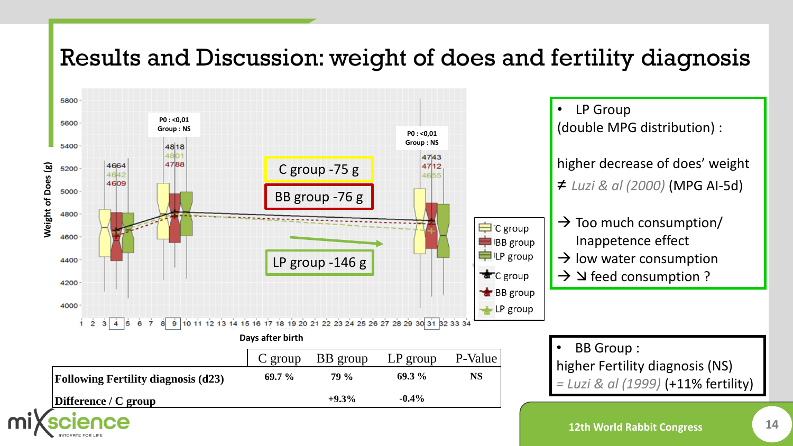### Results and Discussion: weight of does and fertility diagnosis

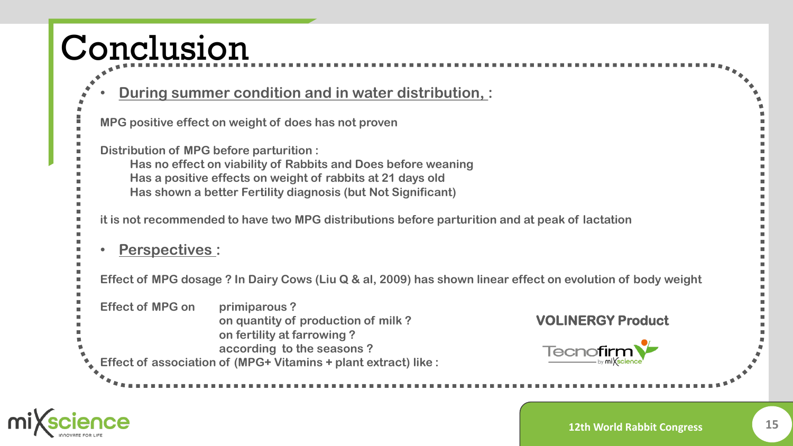## Conclusion

### • **During summer condition and in water distribution, :**

**MPG positive effect on weight of does has not proven Distribution of MPG before parturition : Has no effect on viability of Rabbits and Does before weaning Has a positive effects on weight of rabbits at 21 days old Has shown a better Fertility diagnosis (but Not Significant) it is not recommended to have two MPG distributions before parturition and at peak of lactation** • **Perspectives : Effect of MPG dosage ? In Dairy Cows (Liu Q & al, 2009) has shown linear effect on evolution of body weight Effect of MPG on primiparous ? VOLINERGY Producton quantity of production of milk ? on fertility at farrowing ? according to the seasons ?** Tecnofirm **Effect of association of (MPG+ Vitamins + plant extract) like :**